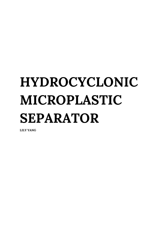# **HYDROCYCLONIC MICROPLASTIC SEPARATOR**

**LILY YANG**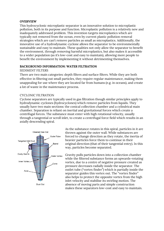#### **OVERVIEW**

This hydrocyclonic microplastic separator is an innovative solution to microplastic pollution, both in its purpose and function. Microplastic pollution is a relatively new and inadequately addressed problem. This invention targets microplastics which are typically not removed from the ocean, even by current plastic pollution removal strategies which are can't remove particles as small as microplastics. Additionally, the innovative use of a hydrodynamic cyclone allows the separator to be environmentally sustainable and easy to maintain. These qualities not only allow the separator to benefit the environment, through removing harmful microplastics, but also makes it accessible to a wider population (as it's low-cost and easy to maintain), allowing more people to benefit the environment by implementing it without detrimenting themselves.

# **BACKGROUND INFORMATION: WATER FILTRATION**

#### SEDIMENT FILTERS

There are two main categories: depth filters and surface filters. While they are both effective in filtering out small particles, they require regular maintenance, making them unappealing for use where they are located far from humans (e.g. in oceans), and create a lot of waste in the maintenance process.

#### CYCLONIC FILTRATION

Cyclone separators are typically used in gas filtration though similar principles apply to hydrodynamic cyclones (hydrocyclones) which remove particles from liquids. They usually have two main sections: the conical collection chamber and a cylindrical main chamber. Separation is reliant on inertial and gravitational forces which create a centrifugal forces. The substance must enter with high rotational velocity, usually through a tangential or scroll inlet, to create a centrifugal force field which results in an axially descending spiral.



As the substance rotates in this spiral, particles in it are thrown against the outer wall. While substances are forced to change direction as they rotate, the inertia of heavier particles force them to continue in their original direction (that of their tangential entry). In this way, particles become separated.

Gravity pulls particles down into a collection chamber while the filtered substance forms an upwards-rotating vortex, due to a centre of negative pressure created as pressure decreases radially inside the separator. The outlet tube ("vortex finder") which is partially inside the separator guides this vortex out. The "vortex finder" also helps to protect the opposite vortex from the high inlet velocity and stabilise its swirling motion. The absence of moving parts and simple construction makes these separators low-cost and easy to maintain.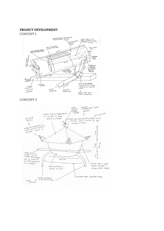#### **PROJECT DEVELOPMENT**

CONCEPT 1



CONCEPT 2

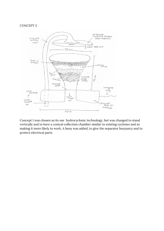#### CONCEPT 3



Concept 1 was chosen as its use hydrocyclonic technology, but was changed to stand vertically and to have a conical collection chamber similar to existing cyclones and so making it more likely to work. A buoy was added, to give the separator buoyancy and to protect electrical parts.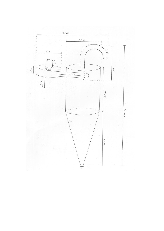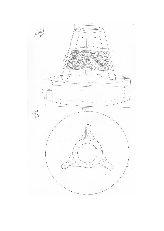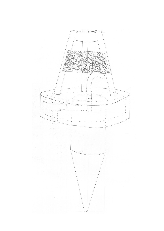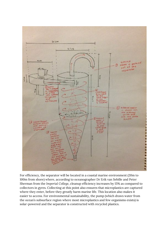

For efficiency, the separator will be located in a coastal marine environment (20m to 100m from shore) where, according to oceanographer Dr Erik van Sebille and Peter Sherman from the *Imperial College*, cleanup efficiency increases by 15% as compared to collectors in gyres. Collecting at this point also ensures that microplastics are captured where they enter, before they greatly harm marine life. This location also makes it easier to access. For environmental sustainability, the pump (which draws water from the ocean's subsurface region where most microplastics and few organisms exists) is solar-powered and the separator is constructed with recycled plastics.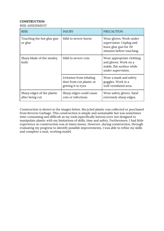# **CONSTRUCTION**

| <b>RISK ASSESSMENT</b> |  |
|------------------------|--|
|------------------------|--|

| <b>RISK</b>                                   | <b>INJURY</b>                                                              | <b>PRECAUTION</b>                                                                                       |
|-----------------------------------------------|----------------------------------------------------------------------------|---------------------------------------------------------------------------------------------------------|
| Touching the hot glue gun<br>or glue          | Mild to severe burns                                                       | Wear gloves. Work under<br>supervision. Unplug and<br>leave glue gun for 20<br>minutes before touching. |
| Sharp blade of the stanley<br>knife           | Mild to severe cuts                                                        | Wear appropriate clothing<br>and gloves. Work on a<br>stable, flat surface while<br>under supervision.  |
|                                               | Irritation from inhaling<br>dust from cut plastic or<br>getting it in eyes | Wear a mask and safety<br>goggles. Work in a<br>well-ventilated area.                                   |
| Sharp edges of the plastic<br>after being cut | Sharp edges could cause<br>cuts or infections                              | Wear safety gloves. Sand<br>extremely sharp edges.                                                      |

Construction is shown in the images below. Recycled plastic was collected or purchased from Reverse Garbage. This construction is simple and sustainable but was sometimes time-consuming and difficult as my tools (specifically knives) were not designed to manipulate plastic with my limitations of skills, time and safety. Furthermore, I had little experience so construction was at times messy. However, during construction, through evaluating my progress to identify possible improvements, I was able to refine my skills and complete a neat, working model.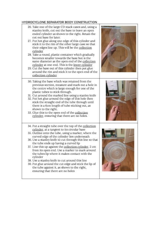#### HYDROCYCLONE SEPARATOR BODY CONSTRUCTION

26. Take one of the large CD stack cases and, using a stanley knife, cut out the base to leave an open ended cylinder as shown to the right. Retain the cut out base for later. 27. Put hot glue along one edge of this cylinder and stick it to the rim of the other large case so that their edges line up. This will be the collection cylinder 28. Take a round, plastic container which gradually becomes smaller towards the base but is the same diameter as the open end of the collection cylinder at one end. This is the lower cylinder 29. Cut the base out of this cylinder then put glue around the rim and stick it to the open end of the collection cylinder. 30. Taking the base which was retained from the previous section, measure and mark out a hole in the centre which is large enough for one of the plastic tubes to stick through. 31. Cut around the marked line using a stanley knife 32. Put hot glue around the edge of this hole then stick the straight end of the tube through until there is a 6cm length of tube sticking out, as shown to the right. 33. Glue this to the open end of the collection cylinder, ensuring that there are no holes. 34. Put a straight tube over the top of the collection cylinder, at a tangent to its circular base 35. Outline onto the tube, using a marker, where the curved edge of the cylinder lies underneath 36. Use a stanley knife to cut through this line so that the tube ends up having a curved lip 37. Line this up against the collection cylinder, 2 cm from its open end. Use a marker to mark around the tubes lip where it makes contact with the cylinder 38. Use a stanley knife to cut around this line 39. Put glue around the cut edge and stick the lip of the tube against it, as shown to the right, ensuring that there are no holes.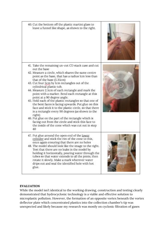| 40. Cut the bottom off the plastic martini glass to<br>leave a funnel like shape, as shown to the right.                                                                                                                                                                                                                                                                                                                                                                                                                                                                                                                                                                                                                                                                                                                                       |  |
|------------------------------------------------------------------------------------------------------------------------------------------------------------------------------------------------------------------------------------------------------------------------------------------------------------------------------------------------------------------------------------------------------------------------------------------------------------------------------------------------------------------------------------------------------------------------------------------------------------------------------------------------------------------------------------------------------------------------------------------------------------------------------------------------------------------------------------------------|--|
| 41. Take the remaining un-cut CD stack case and cut<br>out the base<br>42. Measure a circle, which shares the same centre<br>point as the base, that has a radius 1cm less than<br>that of the base (5.35cm).<br>43. Cut four 5cm by 1cm rectangles out of the<br>cvlindrical plastic tub.<br>44. Measure 2.5cm of each rectangle and mark the<br>point with a marker. Bend each rectangle at this<br>point at a 90 degree angle.<br>45. Hold each of the plastic rectangles so that one of<br>the bent faces is facing upwards. Put glue on this<br>face and stick it to the plastic circle, so that there<br>is a rectangle every 90 degrees (as shown to the<br>right)<br>46. Put glue on the part of the rectangle which is<br>facing out from the circle and stick this face to<br>the inside of the cone which was cut out in step<br>40 |  |
| 47. Put glue around the open end of the lower<br>cylinder and stick the rim of the cone to this.<br>once again ensuring that there are no holes<br>48. The model should look like the image to the right.<br>Test that there are no leaks in the model by<br>holding it horizontally, pouring water through the<br>tubes so that water extends to all the joints, then<br>rotate it slowly. Make a mark wherever water<br>drips out and seal the identified hole with hot<br>glue.                                                                                                                                                                                                                                                                                                                                                             |  |

# **EVALUATION**

While the model isn't identical to the working drawing, construction and testing clearly demonstrated that hydrocyclonic technology is a viable and effective solution to microplastic pollution. However, the formation of an opposite vortex beneath the vortex deflector plate which concentrated plastics into the collection chamber's tip was unexpected and likely because my research was mostly on cyclonic filtration of gases